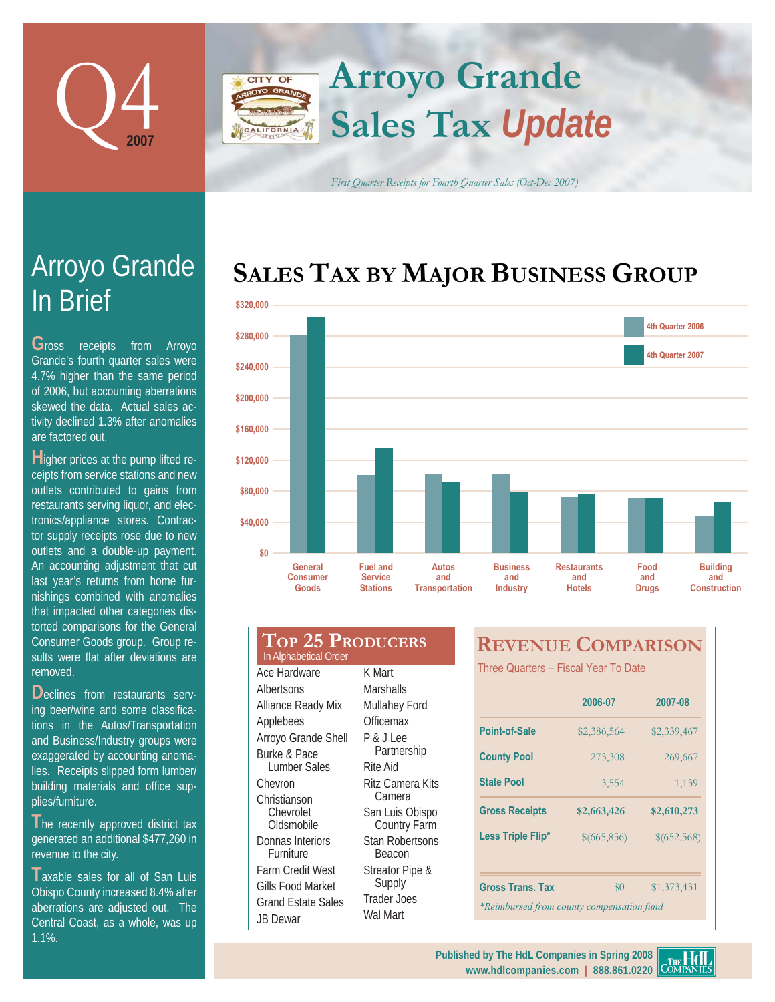

# **Arroyo Grande** CITY OF **Sales Tax** *Update*

*First Quarter Receipts for Fourth Quarter Sales (Oct-Dec 2007)*

## SALES TAX BY MAJOR BUSINESS GROUP



### **TOP 25 PRODUCERS** Ace Hardware Albertsons Alliance Ready Mix Applebees K Mart **Marshalls** Mullahey Ford **Officemax** In Alphabetical Order

Arroyo Grande Shell Burke & Pace Lumber Sales Chevron Christianson Chevrolet Oldsmobile Donnas Interiors Furniture Farm Credit West Gills Food Market Grand Estate Sales

JB Dewar

P & J Lee Partnership Rite Aid Ritz Camera Kits Camera San Luis Obispo Country Farm Stan Robertsons **Beacon** Streator Pipe & Supply Trader Joes Wal Mart

## **REVENUE COMPARISON**

Three Quarters - Fiscal Year To Date

|                                           | 2006-07     | 2007-08     |  |  |  |  |
|-------------------------------------------|-------------|-------------|--|--|--|--|
| Point-of-Sale                             | \$2,386,564 | \$2,339,467 |  |  |  |  |
| <b>County Pool</b>                        | 273,308     | 269,667     |  |  |  |  |
| <b>State Pool</b>                         | 3,554       | 1,139       |  |  |  |  |
| <b>Gross Receipts</b>                     | \$2,663,426 | \$2,610,273 |  |  |  |  |
| Less Triple Flip*                         | \$(665,856) | \$(652,568) |  |  |  |  |
|                                           |             |             |  |  |  |  |
| <b>Gross Trans. Tax</b>                   | $\$0$       | \$1,373,431 |  |  |  |  |
| *Reimbursed from county compensation fund |             |             |  |  |  |  |

# In Brief Arroyo Grande

**G**ross receipts from Arroyo Grande's fourth quarter sales were 4.7% higher than the same period of 2006, but accounting aberrations skewed the data. Actual sales activity declined 1.3% after anomalies are factored out.

**H**igher prices at the pump lifted receipts from service stations and new outlets contributed to gains from restaurants serving liquor, and electronics/appliance stores. Contractor supply receipts rose due to new outlets and a double-up payment. An accounting adjustment that cut last year's returns from home furnishings combined with anomalies that impacted other categories distorted comparisons for the General Consumer Goods group. Group results were flat after deviations are removed.

Declines from restaurants serving beer/wine and some classifications in the Autos/Transportation and Business/Industry groups were exaggerated by accounting anomalies. Receipts slipped form lumber/ building materials and office supplies/furniture.

The recently approved district tax generated an additional \$477,260 in revenue to the city.

**T**axable sales for all of San Luis Obispo County increased 8.4% after aberrations are adjusted out. The Central Coast, as a whole, was up 1.1%.

**www.hdlcompanies.com | 888.861.0220**